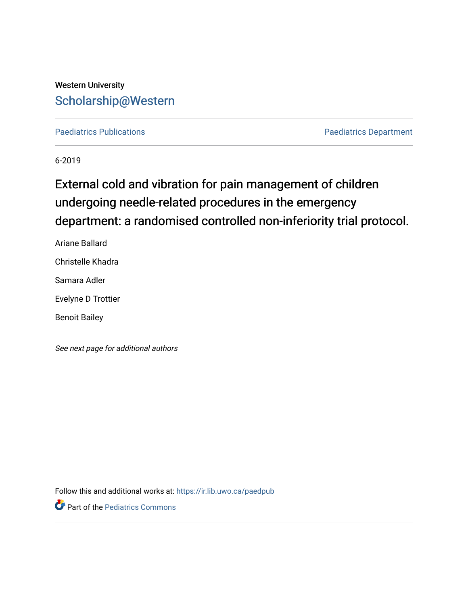# Western University [Scholarship@Western](https://ir.lib.uwo.ca/)

[Paediatrics Publications](https://ir.lib.uwo.ca/paedpub) **Paediatrics Publications Paediatrics Department** 

6-2019

# External cold and vibration for pain management of children undergoing needle-related procedures in the emergency department: a randomised controlled non-inferiority trial protocol.

Ariane Ballard Christelle Khadra Samara Adler Evelyne D Trottier Benoit Bailey

See next page for additional authors

Follow this and additional works at: [https://ir.lib.uwo.ca/paedpub](https://ir.lib.uwo.ca/paedpub?utm_source=ir.lib.uwo.ca%2Fpaedpub%2F358&utm_medium=PDF&utm_campaign=PDFCoverPages)

**P** Part of the [Pediatrics Commons](http://network.bepress.com/hgg/discipline/700?utm_source=ir.lib.uwo.ca%2Fpaedpub%2F358&utm_medium=PDF&utm_campaign=PDFCoverPages)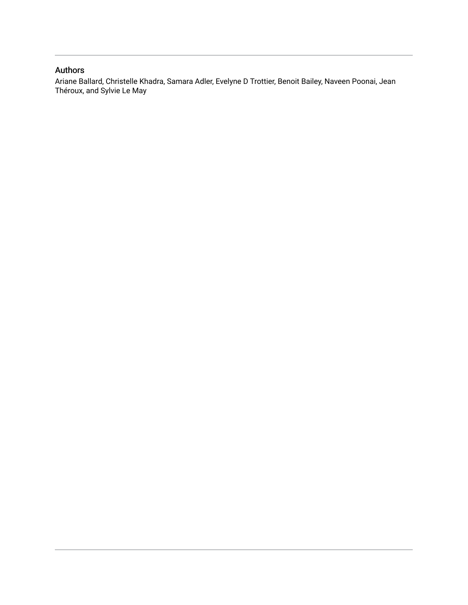# Authors

Ariane Ballard, Christelle Khadra, Samara Adler, Evelyne D Trottier, Benoit Bailey, Naveen Poonai, Jean Théroux, and Sylvie Le May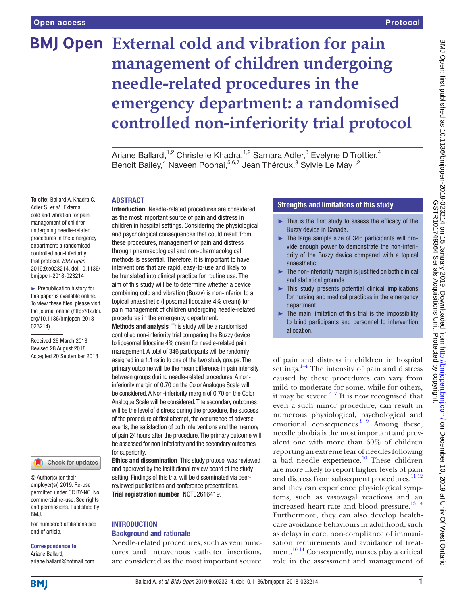# **External cold and vibration for pain management of children undergoing needle-related procedures in the emergency department: a randomised controlled non-inferiority trial protocol**

Ariane Ballard,<sup>1,2</sup> Christelle Khadra,<sup>1,2</sup> Samara Adler,<sup>3</sup> Evelyne D Trottier,<sup>4</sup> Benoit Bailey,<sup>4</sup> Naveen Poonai,<sup>5,6,7</sup> Jean Théroux,<sup>8</sup> Sylvie Le May<sup>1,2</sup>

**To cite:** Ballard A, Khadra C, Adler S, *et al*. External cold and vibration for pain management of children undergoing needle-related procedures in the emergency department: a randomised controlled non-inferiority trial protocol. *BMJ Open* 2019;9:e023214. doi:10.1136/ bmjopen-2018-023214

► Prepublication history for this paper is available online. To view these files, please visit the journal online [\(http://dx.doi.](http://dx.doi.org/10.1136/bmjopen-2018-023214) [org/10.1136/bmjopen-2018-](http://dx.doi.org/10.1136/bmjopen-2018-023214) [023214\)](http://dx.doi.org/10.1136/bmjopen-2018-023214).

Received 26 March 2018 Revised 28 August 2018 Accepted 20 September 2018



© Author(s) (or their employer(s)) 2019. Re-use permitted under CC BY-NC. No commercial re-use. See rights and permissions. Published by BMJ.

For numbered affiliations see end of article.

# Correspondence to

Ariane Ballard; ariane.ballard@hotmail.com **ABSTRACT** 

Introduction Needle-related procedures are considered as the most important source of pain and distress in children in hospital settings. Considering the physiological and psychological consequences that could result from these procedures, management of pain and distress through pharmacological and non-pharmacological methods is essential. Therefore, it is important to have interventions that are rapid, easy-to-use and likely to be translated into clinical practice for routine use. The aim of this study will be to determine whether a device combining cold and vibration (Buzzy) is non-inferior to a topical anaesthetic (liposomal lidocaine 4% cream) for pain management of children undergoing needle-related procedures in the emergency department.

Methods and analysis This study will be a randomised controlled non-inferiority trial comparing the Buzzy device to liposomal lidocaine 4% cream for needle-related pain management. A total of 346 participants will be randomly assigned in a 1:1 ratio to one of the two study groups. The primary outcome will be the mean difference in pain intensity between groups during needle-related procedures. A noninferiority margin of 0.70 on the Color Analogue Scale will be considered. A Non-inferiority margin of 0.70 on the Color Analogue Scale will be considered. The secondary outcomes will be the level of distress during the procedure, the success of the procedure at first attempt, the occurrence of adverse events, the satisfaction of both interventions and the memory of pain 24hours after the procedure. The primary outcome will be assessed for non-inferiority and the secondary outcomes for superiority.

Ethics and dissemination This study protocol was reviewed and approved by the institutional review board of the study setting. Findings of this trial will be disseminated via peerreviewed publications and conference presentations. Trial registration number <NCT02616419>.

# **INTRODUCTION** Background and rationale

Needle-related procedures, such as venipunctures and intravenous catheter insertions, are considered as the most important source

# Strengths and limitations of this study

- ► This is the first study to assess the efficacy of the Buzzy device in Canada.
- ► The large sample size of 346 participants will provide enough power to demonstrate the non-inferiority of the Buzzy device compared with a topical anaesthetic.
- $\blacktriangleright$  The non-inferiority margin is justified on both clinical and statistical grounds.
- ► This study presents potential clinical implications for nursing and medical practices in the emergency department.
- ► The main limitation of this trial is the impossibility to blind participants and personnel to intervention allocation.

of pain and distress in children in hospital settings.<sup>1-4</sup> The intensity of pain and distress caused by these procedures can vary from mild to moderate for some, while for others, it may be severe. $4\frac{4-7}{7}$  It is now recognised that even a such minor procedure, can result in numerous physiological, psychological and emotional consequences. $8 \frac{9}{9}$  Among these, needle phobia is the most important and prevalent one with more than 60% of children reporting an extreme fear of needles following a bad needle experience.<sup>10</sup> These children are more likely to report higher levels of pain and distress from subsequent procedures,  $^{11}$  12 and they can experience physiological symptoms, such as vasovagal reactions and an increased heart rate and blood pressure.<sup>[13 14](#page-9-5)</sup> Furthermore, they can also develop healthcare avoidance behaviours in adulthood, such as delays in care, non-compliance of immunisation requirements and avoidance of treat-ment.<sup>[10 14](#page-9-3)</sup> Consequently, nurses play a critical role in the assessment and management of

**BMI**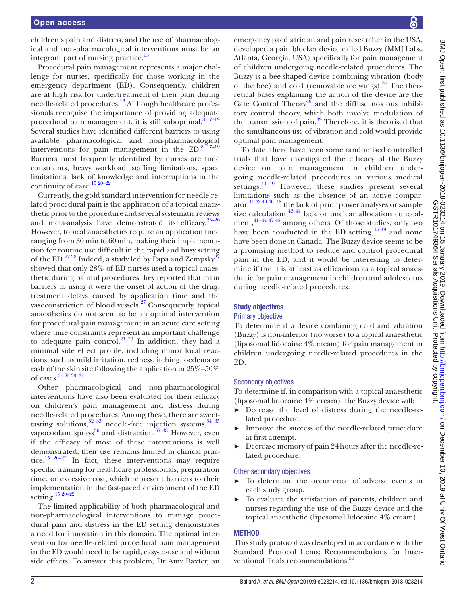children's pain and distress, and the use of pharmacological and non-pharmacological interventions must be an integrant part of nursing practice.<sup>15</sup>

Procedural pain management represents a major challenge for nurses, specifically for those working in the emergency department (ED). Consequently, children are at high risk for undertreatment of their pain during needle-related procedures.<sup>16</sup> Although healthcare professionals recognise the importance of providing adequate procedural pain management, it is still suboptimal.<sup>8 17-19</sup> Several studies have identified different barriers to using available pharmacological and non-pharmacological interventions for pain management in the  $ED.^{8\,17-19}$ Barriers most frequently identified by nurses are time constraints, heavy workload, staffing limitations, space limitations, lack of knowledge and interruptions in the continuity of care.<sup>15 20-22</sup>

Currently, the gold standard intervention for needle-related procedural pain is the application of a topical anaesthetic prior to the procedure and several systematic reviews and meta-analysis have demonstrated its efficacy.[23–26](#page-9-8) However, topical anaesthetics require an application time ranging from 30 min to 60min, making their implementation for routine use difficult in the rapid and busy setting of the ED.<sup>2728</sup> Indeed, a study led by Papa and Zempsky<sup>27</sup> showed that only 28% of ED nurses used a topical anaesthetic during painful procedures they reported that main barriers to using it were the onset of action of the drug, treatment delays caused by application time and the vasoconstriction of blood vessels[.27](#page-10-0) Consequently, topical anaesthetics do not seem to be an optimal intervention for procedural pain management in an acute care setting where time constraints represent an important challenge to adequate pain control.<sup>21 29</sup> In addition, they had a minimal side effect profile, including minor local reactions, such as mild irritation, redness, itching, oedema or rash of the skin site following the application in 25%–50% of cases[.24 25 29–31](#page-10-1)

Other pharmacological and non-pharmacological interventions have also been evaluated for their efficacy on children's pain management and distress during needle-related procedures. Among these, there are sweettasting solutions, $32 \frac{33}{20}$  needle-free injection systems,  $34 \frac{35}{20}$ vapocoolant sprays $^{36}$  and distraction.<sup>37</sup> 38 However, even if the efficacy of most of these interventions is well demonstrated, their use remains limited in clinical prac-tice.<sup>[15 20–22](#page-9-6)</sup> In fact, these interventions may require specific training for healthcare professionals, preparation time, or excessive cost, which represent barriers to their implementation in the fast-paced environment of the ED setting[.15 20–22](#page-9-6)

The limited applicability of both pharmacological and non-pharmacological interventions to manage procedural pain and distress in the ED setting demonstrates a need for innovation in this domain. The optimal intervention for needle-related procedural pain management in the ED would need to be rapid, easy-to-use and without side effects. To answer this problem, Dr Amy Baxter, an

emergency paediatrician and pain researcher in the USA, developed a pain blocker device called Buzzy (MMJ Labs, Atlanta, Georgia, USA) specifically for pain management of children undergoing needle-related procedures. The Buzzy is a bee-shaped device combining vibration (body of the bee) and cold (removable ice wings). $39$  The theoretical bases explaining the action of the device are the Gate Control Theory<sup>40</sup> and the diffuse noxious inhibitory control theory, which both involve modulation of the transmission of pain. $39$  Therefore, it is theorised that the simultaneous use of vibration and cold would provide optimal pain management.

To date, there have been some randomised controlled trials that have investigated the efficacy of the Buzzy device on pain management in children undergoing needle-related procedures in various medical settings.<sup>[41–49](#page-10-8)</sup> However, these studies present several limitations such as the absence of an active comparator, $41\frac{43\frac{44\frac{46}{48}}{46}}$  the lack of prior power analyses or sample size calculation,<sup>43 44</sup> lack or unclear allocation conceal-ment,<sup>[41–44 47 48](#page-10-8)</sup> among others. Of those studies, only two have been conducted in the ED setting,  $45\frac{45}{9}$  and none have been done in Canada. The Buzzy device seems to be a promising method to reduce and control procedural pain in the ED, and it would be interesting to determine if the it is at least as efficacious as a topical anaesthetic for pain management in children and adolescents during needle-related procedures.

# Study objectives

### Primary objective

To determine if a device combining cold and vibration (Buzzy) is non-inferior (no worse) to a topical anaesthetic (liposomal lidocaine 4% cream) for pain management in children undergoing needle-related procedures in the ED.

### Secondary objectives

To determine if, in comparison with a topical anaesthetic (liposomal lidocaine 4% cream), the Buzzy device will:

- ► Decrease the level of distress during the needle-related procedure.
- ► Improve the success of the needle-related procedure at first attempt.
- ► Decrease memory of pain 24hours after the needle-related procedure.

### Other secondary objectives

- ► To determine the occurrence of adverse events in each study group.
- To evaluate the satisfaction of parents, children and nurses regarding the use of the Buzzy device and the topical anaesthetic (liposomal lidocaine 4% cream).

# **METHOD**

This study protocol was developed in accordance with the Standard Protocol Items: Recommendations for Inter-ventional Trials recommendations.<sup>[50](#page-10-11)</sup>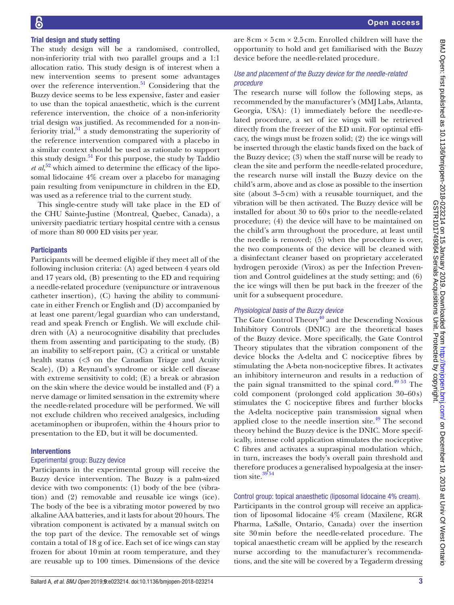#### Trial design and study setting

The study design will be a randomised, controlled, non-inferiority trial with two parallel groups and a 1:1 allocation ratio. This study design is of interest when a new intervention seems to present some advantages over the reference intervention. $51$  Considering that the Buzzy device seems to be less expensive, faster and easier to use than the topical anaesthetic, which is the current reference intervention, the choice of a non-inferiority trial design was justified. As recommended for a non-inferiority trial, $51$  a study demonstrating the superiority of the reference intervention compared with a placebo in a similar context should be used as rationale to support this study design. $51$  For this purpose, the study by Taddio *et al*, [52](#page-10-13) which aimed to determine the efficacy of the liposomal lidocaine 4% cream over a placebo for managing pain resulting from venipuncture in children in the ED, was used as a reference trial to the current study.

This single-centre study will take place in the ED of the CHU Sainte-Justine (Montreal, Quebec, Canada), a university paediatric tertiary hospital centre with a census of more than 80 000 ED visits per year.

#### **Participants**

Participants will be deemed eligible if they meet all of the following inclusion criteria: (A) aged between 4 years old and 17 years old, (B) presenting to the ED and requiring a needle-related procedure (venipuncture or intravenous catheter insertion), (C) having the ability to communicate in either French or English and (D) accompanied by at least one parent/legal guardian who can understand, read and speak French or English. We will exclude children with (A) a neurocognitive disability that precludes them from assenting and participating to the study, (B) an inability to self-report pain, (C) a critical or unstable health status (<3 on the Canadian Triage and Acuity Scale), (D) a Reynaud's syndrome or sickle cell disease with extreme sensitivity to cold; (E) a break or abrasion on the skin where the device would be installed and (F) a nerve damage or limited sensation in the extremity where the needle-related procedure will be performed. We will not exclude children who received analgesics, including acetaminophen or ibuprofen, within the 4hours prior to presentation to the ED, but it will be documented.

#### Interventions

### Experimental group: Buzzy device

Participants in the experimental group will receive the Buzzy device intervention. The Buzzy is a palm-sized device with two components: (1) body of the bee (vibration) and (2) removable and reusable ice wings (ice). The body of the bee is a vibrating motor powered by two alkaline AAA batteries, and it lasts for about 20hours. The vibration component is activated by a manual switch on the top part of the device. The removable set of wings contain a total of 18 g of ice. Each set of ice wings can stay frozen for about 10min at room temperature, and they are reusable up to 100 times. Dimensions of the device are  $8 \text{ cm} \times 5 \text{ cm} \times 2.5 \text{ cm}$ . Enrolled children will have the opportunity to hold and get familiarised with the Buzzy device before the needle-related procedure.

## *Use and placement of the Buzzy device for the needle-related procedure*

The research nurse will follow the following steps, as recommended by the manufacturer's (MMJ Labs, Atlanta, Georgia, USA): (1) immediately before the needle-related procedure, a set of ice wings will be retrieved directly from the freezer of the ED unit. For optimal efficacy, the wings must be frozen solid; (2) the ice wings will be inserted through the elastic bands fixed on the back of the Buzzy device; (3) when the staff nurse will be ready to clean the site and perform the needle-related procedure, the research nurse will install the Buzzy device on the child's arm, above and as close as possible to the insertion site (about 3–5cm) with a reusable tourniquet, and the vibration will be then activated. The Buzzy device will be installed for about 30 to 60s prior to the needle-related procedure; (4) the device will have to be maintained on the child's arm throughout the procedure, at least until the needle is removed; (5) when the procedure is over, the two components of the device will be cleaned with a disinfectant cleaner based on proprietary accelerated hydrogen peroxide (Virox) as per the Infection Prevention and Control guidelines at the study setting; and (6) the ice wings will then be put back in the freezer of the unit for a subsequent procedure.

#### *Physiological basis of the Buzzy device*

The Gate Control Theory<sup>40</sup> and the Descending Noxious Inhibitory Controls (DNIC) are the theoretical bases of the Buzzy device. More specifically, the Gate Control Theory stipulates that the vibration component of the device blocks the A-delta and C nociceptive fibres by stimulating the A-beta non-nociceptive fibres. It activates an inhibitory interneuron and results in a reduction of the pain signal transmitted to the spinal cord. $49\,53$  The cold component (prolonged cold application 30–60s) stimulates the C nociceptive fibres and further blocks the A-delta nociceptive pain transmission signal when applied close to the needle insertion site. $49$  The second theory behind the Buzzy device is the DNIC. More specifically, intense cold application stimulates the nociceptive C fibres and activates a supraspinal modulation which, in turn, increases the body's overall pain threshold and therefore produces a generalised hypoalgesia at the insertion site.<sup>3954</sup>

# Control group: topical anaesthetic (liposomal lidocaine 4% cream).

Participants in the control group will receive an application of liposomal lidocaine 4% cream (Maxilene, RGR Pharma, LaSalle, Ontario, Canada) over the insertion site 30min before the needle-related procedure. The topical anaesthetic cream will be applied by the research nurse according to the manufacturer's recommendations, and the site will be covered by a Tegaderm dressing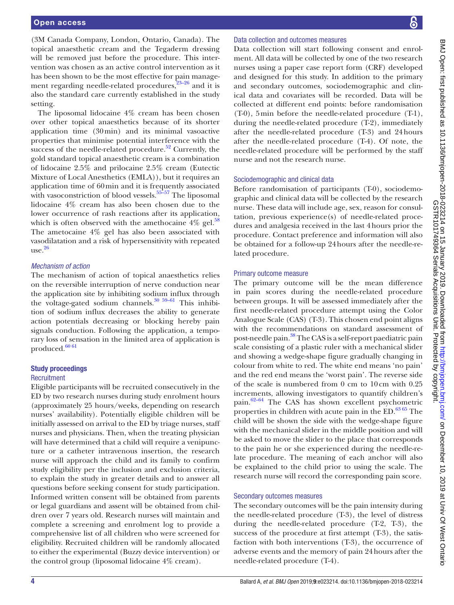(3M Canada Company, London, Ontario, Canada). The topical anaesthetic cream and the Tegaderm dressing will be removed just before the procedure. This intervention was chosen as an active control intervention as it has been shown to be the most effective for pain management regarding needle-related procedures,<sup>23-26</sup> and it is also the standard care currently established in the study setting.

The liposomal lidocaine 4% cream has been chosen over other topical anaesthetics because of its shorter application time (30min) and its minimal vasoactive properties that minimise potential interference with the success of the needle-related procedure.<sup>52</sup> Currently, the gold standard topical anaesthetic cream is a combination of lidocaine 2.5% and prilocaine 2.5% cream (Eutectic Mixture of Local Anesthetics (EMLA)), but it requires an application time of 60min and it is frequently associated with vasoconstriction of blood vessels.<sup>55–57</sup> The liposomal lidocaine 4% cream has also been chosen due to the lower occurrence of rash reactions after its application, which is often observed with the amethocaine  $4\%$  gel.<sup>[58](#page-10-16)</sup> The ametocaine 4% gel has also been associated with vasodilatation and a risk of hypersensitivity with repeated use. $26$ 

# *Mechanism of action*

The mechanism of action of topical anaesthetics relies on the reversible interruption of nerve conduction near the application site by inhibiting sodium influx through the voltage-gated sodium channels[.30 59–61](#page-10-18) This inhibition of sodium influx decreases the ability to generate action potentials decreasing or blocking hereby pain signals conduction. Following the application, a temporary loss of sensation in the limited area of application is produced.<sup>[60 61](#page-10-19)</sup>

# Study proceedings

# **Recruitment**

Eligible participants will be recruited consecutively in the ED by two research nurses during study enrolment hours (approximately 25 hours/weeks, depending on research nurses' availability). Potentially eligible children will be initially assessed on arrival to the ED by triage nurses, staff nurses and physicians. Then, when the treating physician will have determined that a child will require a venipuncture or a catheter intravenous insertion, the research nurse will approach the child and its family to confirm study eligibility per the inclusion and exclusion criteria, to explain the study in greater details and to answer all questions before seeking consent for study participation. Informed written consent will be obtained from parents or legal guardians and assent will be obtained from children over 7 years old. Research nurses will maintain and complete a screening and enrolment log to provide a comprehensive list of all children who were screened for eligibility. Recruited children will be randomly allocated to either the experimental (Buzzy device intervention) or the control group (liposomal lidocaine 4% cream).

## Data collection and outcomes measures

Data collection will start following consent and enrolment. All data will be collected by one of the two research nurses using a paper case report form (CRF) developed and designed for this study. In addition to the primary and secondary outcomes, sociodemographic and clinical data and covariates will be recorded. Data will be collected at different end points: before randomisation (T-0), 5min before the needle-related procedure (T-1), during the needle-related procedure (T-2), immediately after the needle-related procedure (T-3) and 24hours after the needle-related procedure (T-4). Of note, the needle-related procedure will be performed by the staff nurse and not the research nurse.

# Sociodemographic and clinical data

Before randomisation of participants (T-0), sociodemographic and clinical data will be collected by the research nurse. These data will include age, sex, reason for consultation, previous experience(s) of needle-related procedures and analgesia received in the last 4hours prior the procedure. Contact preference and information will also be obtained for a follow-up 24hours after the needle-related procedure.

# Primary outcome measure

The primary outcome will be the mean difference in pain scores during the needle-related procedure between groups. It will be assessed immediately after the first needle-related procedure attempt using the Color Analogue Scale (CAS) (T-3). This chosen end point aligns with the recommendations on standard assessment of post-needle pain.<sup>38</sup> The CAS is a self-report paediatric pain scale consisting of a plastic ruler with a mechanical slider and showing a wedge-shape figure gradually changing in colour from white to red. The white end means 'no pain' and the red end means the 'worst pain'. The reverse side of the scale is numbered from 0 cm to 10cm with 0.25 increments, allowing investigators to quantify children's pain. $62-64$  The CAS has shown excellent psychometric properties in children with acute pain in the ED.<sup>63 65</sup> The child will be shown the side with the wedge-shape figure with the mechanical slider in the middle position and will be asked to move the slider to the place that corresponds to the pain he or she experienced during the needle-relate procedure. The meaning of each anchor will also be explained to the child prior to using the scale. The research nurse will record the corresponding pain score.

# Secondary outcomes measures

The secondary outcomes will be the pain intensity during the needle-related procedure (T-3), the level of distress during the needle-related procedure (T-2, T-3), the success of the procedure at first attempt (T-3), the satisfaction with both interventions (T-3), the occurrence of adverse events and the memory of pain 24hours after the needle-related procedure (T-4).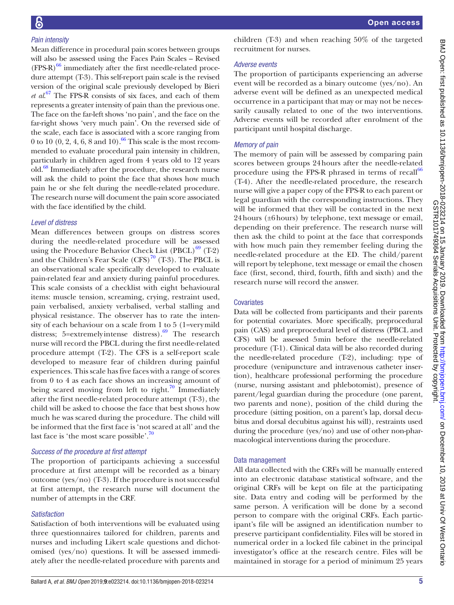# *Pain intensity*

Mean difference in procedural pain scores between groups will also be assessed using the Faces Pain Scales – Revised  $(FPS-R)^{66}$  $(FPS-R)^{66}$  $(FPS-R)^{66}$  immediately after the first needle-related procedure attempt (T-3). This self-report pain scale is the revised version of the original scale previously developed by Bieri *et al*. [67](#page-10-24) The FPS-R consists of six faces, and each of them represents a greater intensity of pain than the previous one. The face on the far-left shows 'no pain', and the face on the far-right shows 'very much pain'. On the reversed side of the scale, each face is associated with a score ranging from 0 to 10  $(0, 2, 4, 6, 8 \text{ and } 10).$ <sup>[66](#page-10-23)</sup> This scale is the most recommended to evaluate procedural pain intensity in children, particularly in children aged from 4 years old to 12 years old.<sup>[68](#page-10-25)</sup> Immediately after the procedure, the research nurse will ask the child to point the face that shows how much pain he or she felt during the needle-related procedure. The research nurse will document the pain score associated with the face identified by the child.

# *Level of distress*

Mean differences between groups on distress scores during the needle-related procedure will be assessed using the Procedure Behavior Check List  $(PBCL)^{69}$  $(PBCL)^{69}$  $(PBCL)^{69}$  (T-2) and the Children's Fear Scale  $(CFS)^{70}$  $(CFS)^{70}$  $(CFS)^{70}$  (T-3). The PBCL is an observational scale specifically developed to evaluate pain-related fear and anxiety during painful procedures. This scale consists of a checklist with eight behavioural items: muscle tension, screaming, crying, restraint used, pain verbalised, anxiety verbalised, verbal stalling and physical resistance. The observer has to rate the intensity of each behaviour on a scale from 1 to 5 (1=verymild distress; 5=extremely intense distress).<sup>69</sup> The research nurse will record the PBCL during the first needle-related procedure attempt (T-2). The CFS is a self-report scale developed to measure fear of children during painful experiences. This scale has five faces with a range of scores from 0 to 4 as each face shows an increasing amount of being scared moving from left to right. $\frac{70}{10}$  Immediately after the first needle-related procedure attempt (T-3), the child will be asked to choose the face that best shows how much he was scared during the procedure. The child will be informed that the first face is 'not scared at all' and the last face is 'the most scare possible'.<sup>70</sup>

# *Success of the procedure at first attempt*

The proportion of participants achieving a successful procedure at first attempt will be recorded as a binary outcome (yes/no) (T-3). If the procedure is not successful at first attempt, the research nurse will document the number of attempts in the CRF.

# *Satisfaction*

Satisfaction of both interventions will be evaluated using three questionnaires tailored for children, parents and nurses and including Likert scale questions and dichotomised (yes/no) questions. It will be assessed immediately after the needle-related procedure with parents and

# *Adverse events*

The proportion of participants experiencing an adverse event will be recorded as a binary outcome (yes/no). An adverse event will be defined as an unexpected medical occurrence in a participant that may or may not be necessarily causally related to one of the two interventions. Adverse events will be recorded after enrolment of the participant until hospital discharge.

# *Memory of pain*

The memory of pain will be assessed by comparing pain scores between groups 24hours after the needle-related procedure using the FPS-R phrased in terms of recall $66$ (T-4). After the needle-related procedure, the research nurse will give a paper copy of the FPS-R to each parent or legal guardian with the corresponding instructions. They will be informed that they will be contacted in the next 24hours (±6hours) by telephone, text message or email, depending on their preference. The research nurse will then ask the child to point at the face that corresponds with how much pain they remember feeling during the needle-related procedure at the ED. The child/parent will report by telephone, text message or email the chosen face (first, second, third, fourth, fifth and sixth) and the research nurse will record the answer.

# **Covariates**

Data will be collected from participants and their parents for potential covariates. More specifically, preprocedural pain (CAS) and preprocedural level of distress (PBCL and CFS) will be assessed 5min before the needle-related procedure (T-1). Clinical data will be also recorded during the needle-related procedure (T-2), including: type of procedure (venipuncture and intravenous catheter insertion), healthcare professional performing the procedure (nurse, nursing assistant and phlebotomist), presence of parent/legal guardian during the procedure (one parent, two parents and none), position of the child during the procedure (sitting position, on a parent's lap, dorsal decubitus and dorsal decubitus against his will), restraints used during the procedure (yes/no) and use of other non-pharmacological interventions during the procedure.

### Data management

All data collected with the CRFs will be manually entered into an electronic database statistical software, and the original CRFs will be kept on file at the participating site. Data entry and coding will be performed by the same person. A verification will be done by a second person to compare with the original CRFs. Each participant's file will be assigned an identification number to preserve participant confidentiality. Files will be stored in numerical order in a locked file cabinet in the principal investigator's office at the research centre. Files will be maintained in storage for a period of minimum 25 years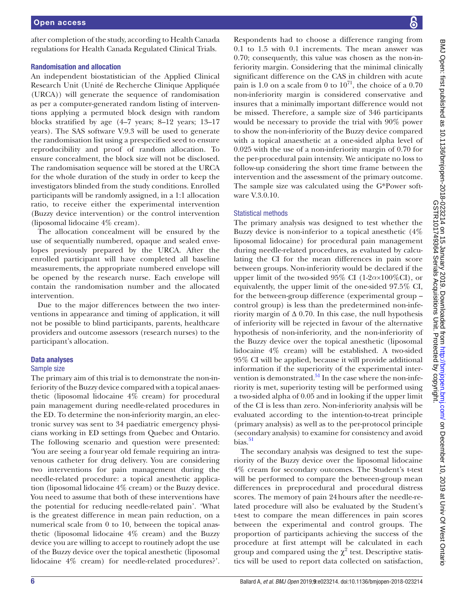after completion of the study, according to Health Canada regulations for Health Canada Regulated Clinical Trials.

### Randomisation and allocation

An independent biostatistician of the Applied Clinical Research Unit (Unité de Recherche Clinique Appliquée (URCA)) will generate the sequence of randomisation as per a computer-generated random listing of interventions applying a permuted block design with random blocks stratified by age (4–7 years; 8–12 years; 13–17 years). The SAS software V.9.3 will be used to generate the randomisation list using a prespecified seed to ensure reproducibility and proof of random allocation. To ensure concealment, the block size will not be disclosed. The randomisation sequence will be stored at the URCA for the whole duration of the study in order to keep the investigators blinded from the study conditions. Enrolled participants will be randomly assigned, in a 1:1 allocation ratio, to receive either the experimental intervention (Buzzy device intervention) or the control intervention (liposomal lidocaine 4% cream).

The allocation concealment will be ensured by the use of sequentially numbered, opaque and sealed envelopes previously prepared by the URCA. After the enrolled participant will have completed all baseline measurements, the appropriate numbered envelope will be opened by the research nurse. Each envelope will contain the randomisation number and the allocated intervention.

Due to the major differences between the two interventions in appearance and timing of application, it will not be possible to blind participants, parents, healthcare providers and outcome assessors (research nurses) to the participant's allocation.

### Data analyses

### Sample size

The primary aim of this trial is to demonstrate the non-inferiority of the Buzzy device compared with a topical anaesthetic (liposomal lidocaine 4% cream) for procedural pain management during needle-related procedures in the ED. To determine the non-inferiority margin, an electronic survey was sent to 34 paediatric emergency physicians working in ED settings from Quebec and Ontario. The following scenario and question were presented: 'You are seeing a four year old female requiring an intravenous catheter for drug delivery. You are considering two interventions for pain management during the needle-related procedure: a topical anesthetic application (liposomal lidocaine 4% cream) or the Buzzy device. You need to assume that both of these interventions have the potential for reducing needle-related pain'. 'What is the greatest difference in mean pain reduction, on a numerical scale from 0 to 10, between the topical anasthetic (liposomal lidocaine 4% cream) and the Buzzy device you are willing to accept to routinely adopt the use of the Buzzy device over the topical anesthetic (liposomal lidocaine 4% cream) for needle-related procedures?'.

Respondents had to choose a difference ranging from 0.1 to 1.5 with 0.1 increments. The mean answer was 0.70; consequently, this value was chosen as the non-inferiority margin. Considering that the minimal clinically significant difference on the CAS in children with acute pain is 1.0 on a scale from 0 to  $10^{71}$ , the choice of a 0.70 non-inferiority margin is considered conservative and insures that a minimally important difference would not be missed. Therefore, a sample size of 346 participants would be necessary to provide the trial with 90% power to show the non-inferiority of the Buzzy device compared with a topical anaesthetic at a one-sided alpha level of 0.025 with the use of a non-inferiority margin of 0.70 for the per-procedural pain intensity. We anticipate no loss to follow-up considering the short time frame between the intervention and the assessment of the primary outcome. The sample size was calculated using the G\*Power software V.3.0.10.

# Statistical methods

The primary analysis was designed to test whether the Buzzy device is non-inferior to a topical anesthetic (4% liposomal lidocaine) for procedural pain management during needle-related procedures, as evaluated by calculating the CI for the mean differences in pain score between groups. Non-inferiority would be declared if the upper limit of the two-sided 95% CI (1-2α×100%CI), or equivalently, the upper limit of the one-sided 97.5% CI, for the between-group difference (experimental group – control group) is less than the predetermined non-inferiority margin of  $\Delta$  0.70. In this case, the null hypothesis of inferiority will be rejected in favour of the alternative hypothesis of non-inferiority, and the non-inferiority of the Buzzy device over the topical anesthetic (liposomal lidocaine 4% cream) will be established. A two-sided 95% CI will be applied, because it will provide additional information if the superiority of the experimental intervention is demonstrated.<sup>51</sup> In the case where the non-inferiority is met, superiority testing will be performed using a two-sided alpha of 0.05 and in looking if the upper limit of the CI is less than zero. Non-inferiority analysis will be evaluated according to the intention-to-treat principle (primary analysis) as well as to the per-protocol principle (secondary analysis) to examine for consistency and avoid  $bias.<sup>51</sup>$ 

The secondary analysis was designed to test the superiority of the Buzzy device over the liposomal lidocaine 4% cream for secondary outcomes. The Student's t-test will be performed to compare the between-group mean differences in preprocedural and procedural distress scores. The memory of pain 24hours after the needle-related procedure will also be evaluated by the Student's t-test to compare the mean differences in pain scores between the experimental and control groups. The proportion of participants achieving the success of the procedure at first attempt will be calculated in each group and compared using the  $\chi^2$  test. Descriptive statistics will be used to report data collected on satisfaction,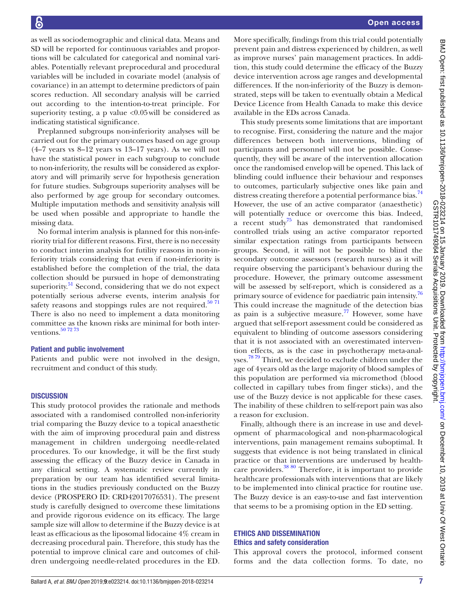More specifically, findings from this trial could potentially prevent pain and distress experienced by children, as well as improve nurses' pain management practices. In addition, this study could determine the efficacy of the Buzzy device intervention across age ranges and developmental differences. If the non-inferiority of the Buzzy is demonstrated, steps will be taken to eventually obtain a Medical Device Licence from Health Canada to make this device available in the EDs across Canada. This study presents some limitations that are important to recognise. First, considering the nature and the major differences between both interventions, blinding of participants and personnel will not be possible. Consequently, they will be aware of the intervention allocation once the randomised envelop will be opened. This lack of blinding could influence their behaviour and responses to outcomes, particularly subjective ones like pain and distress creating therefore a potential performance bias.<sup>[74](#page-10-28)</sup> However, the use of an active comparator (anaesthetic) will potentially reduce or overcome this bias. Indeed, a recent study<sup>75</sup> has demonstrated that randomised controlled trials using an active comparator reported similar expectation ratings from participants between groups. Second, it will not be possible to blind the secondary outcome assessors (research nurses) as it will require observing the participant's behaviour during the procedure. However, the primary outcome assessment will be assessed by self-report, which is considered as a primary source of evidence for paediatric pain intensity.<sup>[76](#page-10-30)</sup> This could increase the magnitude of the detection bias as pain is a subjective measure.<sup>77</sup> However, some have argued that self-report assessment could be considered as equivalent to blinding of outcome assessors considering that it is not associated with an overestimated intervention effects, as is the case in psychotherapy meta-analyses.<sup>7879</sup> Third, we decided to exclude children under the age of 4years old as the large majority of blood samples of

as well as sociodemographic and clinical data. Means and SD will be reported for continuous variables and proportions will be calculated for categorical and nominal variables. Potentially relevant preprocedural and procedural variables will be included in covariate model (analysis of covariance) in an attempt to determine predictors of pain scores reduction. All secondary analysis will be carried out according to the intention-to-treat principle. For superiority testing, a p value  $\langle 0.05 \text{ will be considered as}$ indicating statistical significance.

Preplanned subgroups non-inferiority analyses will be carried out for the primary outcomes based on age group (4–7 years vs 8–12 years vs 13–17 years). As we will not have the statistical power in each subgroup to conclude to non-inferiority, the results will be considered as exploratory and will primarily serve for hypothesis generation for future studies. Subgroups superiority analyses will be also performed by age group for secondary outcomes. Multiple imputation methods and sensitivity analysis will be used when possible and appropriate to handle the missing data.

No formal interim analysis is planned for this non-inferiority trial for different reasons. First, there is no necessity to conduct interim analysis for futility reasons in non-inferiority trials considering that even if non-inferiority is established before the completion of the trial, the data collection should be pursued in hope of demonstrating superiority.<sup>51</sup> Second, considering that we do not expect potentially serious adverse events, interim analysis for safety reasons and stoppings rules are not required. $50\frac{71}{10}$ There is also no need to implement a data monitoring committee as the known risks are minimal for both interventions.<sup>50</sup> <sup>72</sup> <sup>73</sup>

### Patient and public involvement

Patients and public were not involved in the design, recruitment and conduct of this study.

### **DISCUSSION**

This study protocol provides the rationale and methods associated with a randomised controlled non-inferiority trial comparing the Buzzy device to a topical anaesthetic with the aim of improving procedural pain and distress management in children undergoing needle-related procedures. To our knowledge, it will be the first study assessing the efficacy of the Buzzy device in Canada in any clinical setting. A systematic review currently in preparation by our team has identified several limitations in the studies previously conducted on the Buzzy device (PROSPERO ID: CRD42017076531). The present study is carefully designed to overcome these limitations and provide rigorous evidence on its efficacy. The large sample size will allow to determine if the Buzzy device is at least as efficacious as the liposomal lidocaine 4% cream in decreasing procedural pain. Therefore, this study has the potential to improve clinical care and outcomes of children undergoing needle-related procedures in the ED.

# Ethics and dissemination Ethics and safety consideration

a reason for exclusion.

This approval covers the protocol, informed consent forms and the data collection forms. To date, no

this population are performed via micromethod (blood collected in capillary tubes from finger sticks), and the use of the Buzzy device is not applicable for these cases. The inability of these children to self-report pain was also

Finally, although there is an increase in use and development of pharmacological and non-pharmacological interventions, pain management remains suboptimal. It suggests that evidence is not being translated in clinical practice or that interventions are underused by healthcare providers.  $\frac{3880}{8}$  Therefore, it is important to provide healthcare professionals with interventions that are likely to be implemented into clinical practice for routine use. The Buzzy device is an easy-to-use and fast intervention that seems to be a promising option in the ED setting.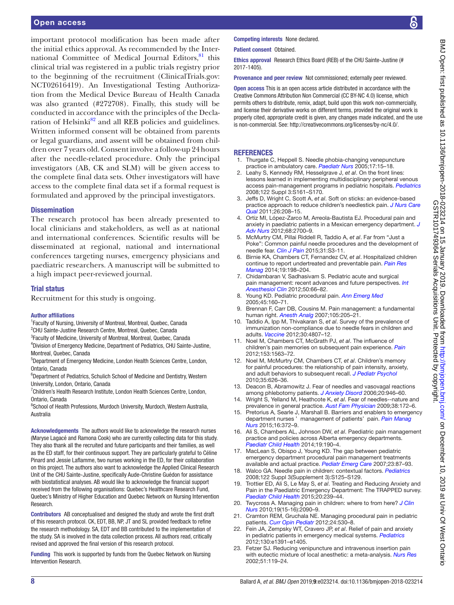important protocol modification has been made after the initial ethics approval. As recommended by the Inter-national Committee of Medical Journal Editors, [81](#page-11-1) this clinical trial was registered in a public trials registry prior to the beginning of the recruitment (ClinicalTrials.gov: NCT02616419). An Investigational Testing Authorization from the Medical Device Bureau of Health Canada was also granted (#272708). Finally, this study will be conducted in accordance with the principles of the Declaration of Helsinki $^{82}$  and all REB policies and guidelines. Written informed consent will be obtained from parents or legal guardians, and assent will be obtained from children over 7 years old. Consent involve a follow-up 24hours after the needle-related procedure. Only the principal investigators (AB, CK and SLM) will be given access to the complete final data sets. Other investigators will have access to the complete final data set if a formal request is formulated and approved by the principal investigators.

#### **Dissemination**

The research protocol has been already presented to local clinicians and stakeholders, as well as at national and international conferences. Scientific results will be disseminated at regional, national and international conferences targeting nurses, emergency physicians and paediatric researchers. A manuscript will be submitted to a high impact peer-reviewed journal.

#### Trial status

Recruitment for this study is ongoing.

#### Author affiliations

<sup>1</sup> Faculty of Nursing, University of Montreal, Montreal, Quebec, Canada <sup>2</sup>CHU Sainte-Justine Research Centre, Montreal, Quebec, Canada

<sup>3</sup> Faculty of Medicine, University of Montreal, Montreal, Quebec, Canada

4 Division of Emergency Medicine, Department of Pediatrics, CHU Sainte-Justine, Montreal, Quebec, Canada

5 Department of Emergency Medicine, London Health Sciences Centre, London, Ontario, Canada

<sup>6</sup>Department of Pediatrics, Schulich School of Medicine and Dentistry, Western University, London, Ontario, Canada

<sup>7</sup>Children's Health Research Institute, London Health Sciences Centre, London, Ontario, Canada

<sup>8</sup>School of Health Professions, Murdoch University, Murdoch, Western Australia, Australia

Acknowledgements The authors would like to acknowledge the research nurses (Maryse Lagacé and Ramona Cook) who are currently collecting data for this study. They also thank all the recruited and future participants and their families, as well as the ED staff, for their continuous support. They are particularly grateful to Céline Pinard and Jessie Laflamme, two nurses working in the ED, for their collaboration on this project. The authors also want to acknowledge the Applied Clinical Research Unit of the CHU Sainte-Justine, specifically Aude-Christine Guédon for assistance with biostatistical analyses. AB would like to acknowledge the financial support received from the following organisations: Quebec's Healthcare Research Fund, Quebec's Ministry of Higher Education and Quebec Network on Nursing Intervention **Research** 

Contributors AB conceptualised and designed the study and wrote the first draft of this research protocol. CK, EDT, BB, NP, JT and SL provided feedback to refine the research methodology. SA, EDT and BB contributed to the implementation of the study. SA is involved in the data collection process. All authors read, critically revised and approved the final version of this research protocol.

Funding This work is supported by funds from the Quebec Network on Nursing Intervention Research.

#### Competing interests None declared.

Patient consent Obtained.

Ethics approval Research Ethics Board (REB) of the CHU Sainte-Justine (# 2017-1405).

Provenance and peer review Not commissioned; externally peer reviewed.

**Open access** This is an open access article distributed in accordance with the Creative Commons Attribution Non Commercial (CC BY-NC 4.0) license, which permits others to distribute, remix, adapt, build upon this work non-commercially, and license their derivative works on different terms, provided the original work is properly cited, appropriate credit is given, any changes made indicated, and the use is non-commercial. See: [http://creativecommons.org/licenses/by-nc/4.0/.](http://creativecommons.org/licenses/by-nc/4.0/)

#### **REFERENCES**

- <span id="page-9-0"></span>1. Thurgate C, Heppell S. Needle phobia-changing venepuncture practice in ambulatory care. *[Paediatr Nurs](http://dx.doi.org/10.7748/paed.17.9.15.s22)* 2005;17:15–18.
- 2. Leahy S, Kennedy RM, Hesselgrave J, *et al*. On the front lines: lessons learned in implementing multidisciplinary peripheral venous access pain-management programs in pediatric hospitals. *[Pediatrics](http://dx.doi.org/10.1542/peds.2008-1055i)* 2008;122 Suppl 3:S161–S170.
- 3. Jeffs D, Wright C, Scott A, *et al*. Soft on sticks: an evidence-based practice approach to reduce children's needlestick pain. *[J Nurs Care](http://dx.doi.org/10.1097/NCQ.0b013e31820e11de)  [Qual](http://dx.doi.org/10.1097/NCQ.0b013e31820e11de)* 2011;26:208–15.
- <span id="page-9-1"></span>4. Ortiz MI, López-Zarco M, Arreola-Bautista EJ. Procedural pain and anxiety in paediatric patients in a Mexican emergency department. *[J](http://dx.doi.org/10.1111/j.1365-2648.2012.05969.x)  [Adv Nurs](http://dx.doi.org/10.1111/j.1365-2648.2012.05969.x)* 2012;68:2700–9.
- 5. McMurtry CM, Pillai Riddell R, Taddio A, *et al*. Far from "Just a Poke": Common painful needle procedures and the development of needle fear. *[Clin J Pain](http://dx.doi.org/10.1097/AJP.0000000000000272)* 2015;31:S3-11.
- 6. Birnie KA, Chambers CT, Fernandez CV, *et al*. Hospitalized children continue to report undertreated and preventable pain. *[Pain Res](http://dx.doi.org/10.1155/2014/614784)  [Manag](http://dx.doi.org/10.1155/2014/614784)* 2014;19:198–204.
- 7. Chidambaran V, Sadhasivam S. Pediatric acute and surgical pain management: recent advances and future perspectives. *[Int](http://dx.doi.org/10.1097/AIA.0b013e31826f3284)  [Anesthesiol Clin](http://dx.doi.org/10.1097/AIA.0b013e31826f3284)* 2012;50:66–82.
- <span id="page-9-2"></span>8. Young KD. Pediatric procedural pain. *[Ann Emerg Med](http://dx.doi.org/10.1016/j.annemergmed.2004.09.019)* 2005;45:160–71.
- 9. Brennan F, Carr DB, Cousins M. Pain management: a fundamental human right. *[Anesth Analg](http://dx.doi.org/10.1213/01.ane.0000268145.52345.55)* 2007;105:205–21.
- <span id="page-9-3"></span>10. Taddio A, Ipp M, Thivakaran S, *et al*. Survey of the prevalence of immunization non-compliance due to needle fears in children and adults. *[Vaccine](http://dx.doi.org/10.1016/j.vaccine.2012.05.011)* 2012;30:4807–12.
- <span id="page-9-4"></span>11. Noel M, Chambers CT, McGrath PJ, *et al*. The influence of children's pain memories on subsequent pain experience. *[Pain](http://dx.doi.org/10.1016/j.pain.2012.02.020)* 2012;153:1563–72.
- 12. Noel M, McMurtry CM, Chambers CT, *et al*. Children's memory for painful procedures: the relationship of pain intensity, anxiety, and adult behaviors to subsequent recall. *[J Pediatr Psychol](http://dx.doi.org/10.1093/jpepsy/jsp096)* 2010;35:626–36.
- <span id="page-9-5"></span>13. Deacon B, Abramowitz J. Fear of needles and vasovagal reactions among phlebotomy patients. *[J Anxiety Disord](http://dx.doi.org/10.1016/j.janxdis.2006.01.004)* 2006;20:946–60.
- 14. Wright S, Yelland M, Heathcote K, *et al*. Fear of needles--nature and prevalence in general practice. *[Aust Fam Physician](http://www.ncbi.nlm.nih.gov/pubmed/19283260)* 2009;38:172–6.
- <span id="page-9-6"></span>15. Pretorius A, Searle J, Marshall B. Barriers and enablers to emergency department nurses ' management of patients' pain. *[Pain Manag](http://dx.doi.org/10.1016/j.pmn.2014.08.015)  [Nurs](http://dx.doi.org/10.1016/j.pmn.2014.08.015)* 2015;16:372–9.
- <span id="page-9-7"></span>16. Ali S, Chambers AL, Johnson DW, *et al*. Paediatric pain management practice and policies across Alberta emergency departments. *[Paediatr Child Health](http://dx.doi.org/10.1093/pch/19.4.190)* 2014;19:190–4.
- 17. MacLean S, Obispo J, Young KD. The gap between pediatric emergency department procedural pain management treatments available and actual practice. *[Pediatr Emerg Care](http://dx.doi.org/10.1097/PEC.0b013e31803)* 2007;23:87–93.
- 18. Walco GA. Needle pain in children: contextual factors. *[Pediatrics](http://dx.doi.org/10.1542/peds.2008-1055D)* 2008;122 Suppl 3(Supplement 3):S125–S129.
- 19. Trottier ED, Ali S, Le May S, *et al*. Treating and Reducing Anxiety and Pain in the Paediatric Emergency Department: The TRAPPED survey. *[Paediatr Child Health](http://dx.doi.org/10.1093/pch/20.5.239)* 2015;20:239–44.
- 20. Twycross A. Managing pain in children: where to from here? *[J Clin](http://dx.doi.org/10.1111/j.1365-2702.2010.03271.x)  [Nurs](http://dx.doi.org/10.1111/j.1365-2702.2010.03271.x)* 2010;19(15-16):2090–9.
- <span id="page-9-9"></span>21. Cramton REM, Gruchala NE. Managing procedural pain in pediatric patients. *[Curr Opin Pediatr](http://dx.doi.org/10.1097/MOP.0b013e328355b2c5)* 2012;24:530–8.
- 22. Fein JA, Zempsky WT, Cravero JP, *et al*. Relief of pain and anxiety in pediatric patients in emergency medical systems. *[Pediatrics](http://dx.doi.org/10.1542/peds.2012-2536)* 2012;130:e1391–e1405.
- <span id="page-9-8"></span>23. Fetzer SJ. Reducing venipuncture and intravenous insertion pain with eutectic mixture of local anesthetic: a meta-analysis. *[Nurs Res](http://dx.doi.org/10.1097/00006199-200203000-00008)* 2002;51:119–24.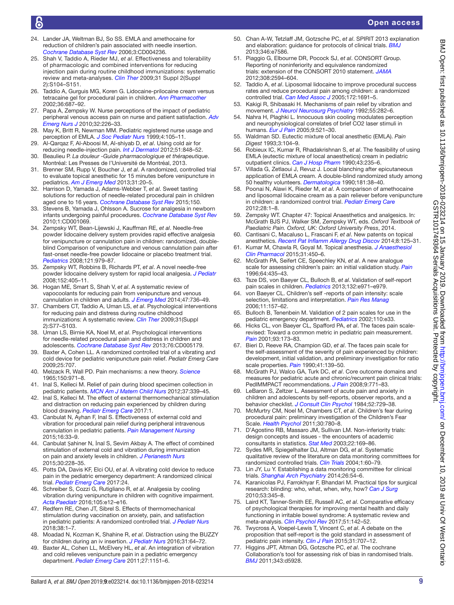### Open access

- <span id="page-10-1"></span>24. Lander JA, Weltman BJ, So SS. EMLA and amethocaine for reduction of children's pain associated with needle insertion. *[Cochrane Database Syst Rev](http://dx.doi.org/10.1002/14651858.CD004236.pub2)* 2006;3:CD004236.
- 25. Shah V, Taddio A, Rieder MJ, *et al*. Effectiveness and tolerability of pharmacologic and combined interventions for reducing injection pain during routine childhood immunizations: systematic review and meta-analyses. *[Clin Ther](http://dx.doi.org/10.1016/j.clinthera.2009.08.001)* 2009;31 Suppl 2(Suppl 2):S104–S151.
- <span id="page-10-17"></span>26. Taddio A, Gurguis MG, Koren G. Lidocaine-prilocaine cream versus tetracaine gel for procedural pain in children. *[Ann Pharmacother](http://dx.doi.org/10.1345/aph.1A138)* 2002;36:687–92.
- <span id="page-10-0"></span>27. Papa A, Zempsky W. Nurse perceptions of the impact of pediatric peripheral venous access pain on nurse and patient satisfaction. *[Adv](http://dx.doi.org/10.1097/TME.0b013e3181e96888)  [Emerg Nurs J](http://dx.doi.org/10.1097/TME.0b013e3181e96888)* 2010;32:226–33.
- 28. May K, Britt R, Newman MM. Pediatric registered nurse usage and perception of EMLA. *[J Soc Pediatr Nurs](http://dx.doi.org/10.1111/j.1744-6155.1999.tb00043.x)* 1999;4:105–11.
- 29. Al-Qarqaz F, Al-Aboosi M, Al-shiyab D, *et al*. Using cold air for reducing needle-injection pain. *[Int J Dermatol](http://dx.doi.org/10.1111/j.1365-4632.2011.05383.x)* 2012;51:848–52.
- <span id="page-10-18"></span>30. Beaulieu P. *La douleur -Guide pharmacologique et thérapeutique*. Montréal: Les Presses de l'Université de Montréal, 2013.
- 31. Brenner SM, Rupp V, Boucher J, *et al*. A randomized, controlled trial to evaluate topical anesthetic for 15 minutes before venipuncture in pediatrics. *[Am J Emerg Med](http://dx.doi.org/10.1016/j.ajem.2012.05.003)* 2013;31:20–5.
- <span id="page-10-2"></span>32. Harrison D, Yamada J, Adams-Webber T, *et al*. Sweet tasting solutions for reduction of needle-related procedural pain in children aged one to 16 years. *[Cochrane Database Syst Rev](http://dx.doi.org/10.1002/14651858.CD008408.pub3)* 2015;150.
- 33. Stevens B, Yamada J, Ohlsson A. Sucrose for analgesia in newborn infants undergoing painful procedures. *[Cochrane Database Syst Rev](http://dx.doi.org/10.1002/14651858.CD001069.pub3)* 2010;1:CD001069.
- <span id="page-10-3"></span>34. Zempsky WT, Bean-Lijewski J, Kauffman RE, *et al*. Needle-free powder lidocaine delivery system provides rapid effective analgesia for venipuncture or cannulation pain in children: randomized, doubleblind Comparison of venipuncture and venous cannulation pain after fast-onset needle-free powder lidocaine or placebo treatment trial. *[Pediatrics](http://dx.doi.org/10.1542/peds.2007-0814)* 2008;121:979–87.
- 35. Zempsky WT, Robbins B, Richards PT, *et al*. A novel needle-free powder lidocaine delivery system for rapid local analgesia. *[J Pediatr](http://dx.doi.org/10.1016/j.jpeds.2007.07.018)* 2008;152:405–11.
- <span id="page-10-4"></span>36. Hogan ME, Smart S, Shah V, *et al*. A systematic review of vapocoolants for reducing pain from venipuncture and venous cannulation in children and adults. *[J Emerg Med](http://dx.doi.org/10.1016/j.jemermed.2014.06.028)* 2014;47:736–49.
- <span id="page-10-5"></span>37. Chambers CT, Taddio A, Uman LS, *et al*. Psychological interventions for reducing pain and distress during routine childhood immunizations: A systematic review. *[Clin Ther](http://dx.doi.org/10.1016/j.clinthera.2009.07.023)* 2009;31(Suppl 2):S77–S103.
- <span id="page-10-20"></span>38. Uman LS, Birnie KA, Noel M, *et al*. Psychological interventions for needle-related procedural pain and distress in children and adolescents. *[Cochrane Database Syst Rev](http://dx.doi.org/10.1002/14651858.CD005179.pub3)* 2013;76:CD005179.
- <span id="page-10-6"></span>39. Baxter A, Cohen LL. A randomized controlled trial of a vibrating and cold device for pediatric venipuncture pain relief. *Pediatr Emerg Care* 2009;25:707.
- <span id="page-10-7"></span>40. Melzack R, Wall PD. Pain mechanisms: a new theory. *[Science](http://dx.doi.org/10.1126/science.150.3699.971)* 1965;150:971–8.
- <span id="page-10-8"></span>41. Inal S, Kelleci M. Relief of pain during blood specimen collection in pediatric patients. *[MCN Am J Matern Child Nurs](http://dx.doi.org/10.1097/NMC.0b013e31825a8aa5)* 2012;37:339–45.
- 42. Inal S, Kelleci M. The effect of external thermomechanical stimulation and distraction on reducing pain experienced by children during blood drawing. *[Pediatr Emerg Care](http://dx.doi.org/10.1097/PEC.0000000000001264)* 2017:1.
- <span id="page-10-9"></span>43. Canbulat N, Ayhan F, Inal S. Effectiveness of external cold and vibration for procedural pain relief during peripheral intravenous cannulation in pediatric patients. *[Pain Management Nursing](http://dx.doi.org/10.1016/j.pmn.2014.03.003)* 2015;16:33–9.
- 44. Canbulat Şahiner N, İnal S, Sevim Akbay A. The effect of combined stimulation of external cold and vibration during immunization on pain and anxiety levels in children. *[J Perianesth Nurs](http://dx.doi.org/10.1016/j.jopan.2014.05.011)* 2015;30:228–35.
- <span id="page-10-10"></span>45. Potts DA, Davis KF, Elci OU, *et al*. A vibrating cold device to reduce pain in the pediatric emergency department: A randomized clinical trial. *[Pediatr Emerg Care](http://dx.doi.org/10.1097/PEC.0000000000001041)* 2017:24.
- 46. Schreiber S, Cozzi G, Rutigliano R, *et al*. Analgesia by cooling vibration during venipuncture in children with cognitive impairment. *[Acta Paediatr](http://dx.doi.org/10.1111/apa.13224)* 2016;105:e12–e16.
- 47. Redfern RE, Chen JT, Sibrel S. Effects of thermomechanical stimulation during vaccination on anxiety, pain, and satisfaction in pediatric patients: A randomized controlled trial. *[J Pediatr Nurs](http://dx.doi.org/10.1016/j.pedn.2017.09.009)* 2018;38:1–7.
- 48. Moadad N, Kozman K, Shahine R, *et al*. Distraction using the BUZZY for children during an iv insertion. *[J Pediatr Nurs](http://dx.doi.org/10.1016/j.pedn.2015.07.010)* 2016;31:64–72.
- <span id="page-10-14"></span>49. Baxter AL, Cohen LL, McElvery HL, *et al*. An integration of vibration and cold relieves venipuncture pain in a pediatric emergency department. *[Pediatr Emerg Care](http://dx.doi.org/10.1097/PEC.0b013e318237ace4)* 2011;27:1151–6.
- <span id="page-10-11"></span>50. Chan A-W, Tetzlaff JM, Gotzsche PC, *et al*. SPIRIT 2013 explanation and elaboration: guidance for protocols of clinical trials. *[BMJ](http://dx.doi.org/10.1136/bmj.e7586)* 2013;346:e7586.
- <span id="page-10-12"></span>51. Piaggio G, Elbourne DR, Pocock SJ, *et al*. CONSORT Group. Reporting of noninferiority and equivalence randomized trials: extension of the CONSORT 2010 statement. *[JAMA](http://dx.doi.org/10.1001/jama.2012.87802)* 2012;308:2594–604.
- <span id="page-10-13"></span>52. Taddio A, *et al*. Liposomal lidocaine to improve procedural success rates and reduce procedural pain among children: a randomized controlled trial. *[Can Med Assoc J](http://dx.doi.org/10.1503/cmaj.045316)* 2005;172:1691–5.
- 53. Kakigi R, Shibasaki H. Mechanisms of pain relief by vibration and movement. *[J Neurol Neurosurg Psychiatry](http://dx.doi.org/10.1136/jnnp.55.4.282)* 1992;55:282–6.
- 54. Nahra H, Plaghki L. Innocuous skin cooling modulates perception and neurophysiological correlates of brief CO2 laser stimuli in humans. *[Eur J Pain](http://dx.doi.org/10.1016/j.ejpain.2004.11.007)* 2005;9:521–30.
- <span id="page-10-15"></span>55. Waldman SD. Eutectic mixture of local anesthetic (EMLA). *Pain Digest* 1993;3:104–9.
- 56. Robieux IC, Kumar R, Rhadakrishnan S, *et al*. The feasibility of using EMLA (eutectic mixture of local anaesthetics) cream in pediatric outpatient clinics. *[Can J Hosp Pharm](http://www.ncbi.nlm.nih.gov/pubmed/10107925)* 1990;43:235–6.
- 57. Villada G, Zetlaoui J, Revuz J. Local blanching after epicutaneous application of EMLA cream. A double-blind randomized study among 50 healthy volunteers. *[Dermatologica](http://www.ncbi.nlm.nih.gov/pubmed/2394302)* 1990;181:38–40.
- <span id="page-10-16"></span>58. Poonai N, Alawi K, Rieder M, *et al*. A comparison of amethocaine and liposomal lidocaine cream as a pain reliever before venipuncture in children: a randomized control trial. *[Pediatr Emerg Care](http://dx.doi.org/10.1097/PEC.0b013e3182442c3b)* 2012;28:1–8.
- 59. Zempsky WT. Chapter 47: Topical Anaesthetics and analgesics. In: McGrath BJS PJ, Walker SM, Zempsky WT, eds. *Oxford Textbook of Paediatric Pain. Oxford, UK: Oxford University Press*, 2014.
- <span id="page-10-19"></span>60. Cantisani C, Macaluso L, Frascani F, *et al*. New patents on topical anesthetics. *[Recent Pat Inflamm Allergy Drug Discov](http://dx.doi.org/10.2174/1872213X08666140515152837)* 2014;8:125–31.
- 61. Kumar M, Chawla R, Goyal M. Topical anesthesia. *[J Anaesthesiol](http://dx.doi.org/10.4103/0970-9185.169049)  [Clin Pharmacol](http://dx.doi.org/10.4103/0970-9185.169049)* 2015;31:450–6.
- <span id="page-10-21"></span>62. McGrath PA, Seifert CE, Speechley KN, *et al*. A new analogue scale for assessing children's pain: an initial validation study. *[Pain](http://dx.doi.org/10.1016/0304-3959(95)00171-9)* 1996;64:435–43.
- <span id="page-10-22"></span>63. Tsze DS, von Baeyer CL, Bulloch B, *et al*. Validation of self-report pain scales in children. *[Pediatrics](http://dx.doi.org/10.1542/peds.2013-1509)* 2013;132:e971–e979.
- 64. von Baeyer CL. Children's self -reports of pain intensity: scale selection, limitations and interpretation. *[Pain Res Manag](http://dx.doi.org/10.1155/2006/197616)* 2006;11:157–62.
- 65. Bulloch B, Tenenbein M. Validation of 2 pain scales for use in the pediatric emergency department. *[Pediatrics](http://dx.doi.org/10.1542/peds.110.3.e33)* 2002;110:e33.
- <span id="page-10-23"></span>66. Hicks CL, von Baeyer CL, Spafford PA, *et al*. The faces pain scalerevised: Toward a common metric in pediatric pain measurement. *[Pain](http://dx.doi.org/10.1016/S0304-3959(01)00314-1)* 2001;93:173–83.
- <span id="page-10-24"></span>67. Bieri D, Reeve RA, Champion GD, *et al*. The faces pain scale for the self-assessment of the severity of pain experienced by children: development, initial validation, and preliminary investigation for ratio scale properties. *[Pain](http://dx.doi.org/10.1016/0304-3959(90)90018-9)* 1990;41:139–50.
- <span id="page-10-25"></span>68. McGrath PJ, Walco GA, Turk DC, *et al*. Core outcome domains and measures for pediatric acute and chronic/recurrent pain clinical trials: PedIMMPACT recommendations. *[J Pain](http://dx.doi.org/10.1016/j.jpain.2008.04.007)* 2008;9:771–83.
- <span id="page-10-26"></span>69. LeBaron S, Zeltzer L. Assessment of acute pain and anxiety in children and adolescents by self-reports, observer reports, and a behavior checklist. *[J Consult Clin Psychol](http://dx.doi.org/10.1037/0022-006X.52.5.729)* 1984;52:729–38.
- <span id="page-10-27"></span>70. McMurtry CM, Noel M, Chambers CT, *et al*. Children's fear during procedural pain: preliminary investigation of the Children's Fear Scale. *[Health Psychol](http://dx.doi.org/10.1037/a0024817)* 2011;30:780–8.
- 71. D'Agostino RB, Massaro JM, Sullivan LM. Non-inferiority trials: design concepts and issues - the encounters of academic consultants in statistics. *[Stat Med](http://dx.doi.org/10.1002/sim.1425)* 2003;22:169–86.
- 72. Sydes MR, Spiegelhalter DJ, Altman DG, *et al*. Systematic qualitative review of the literature on data monitoring committees for randomized controlled trials. *[Clin Trials](http://dx.doi.org/10.1191/1740774504cn004rr)* 2004;1:60–79.
- 73. Lin JY, Lu Y. Establishing a data monitoring committee for clinical trials. *[Shanghai Arch Psychiatry](http://dx.doi.org/10.3969/j.issn.1002-0829.2014.01.009)* 2014;26:54–6.
- <span id="page-10-28"></span>74. Karanicolas PJ, Farrokhyar F, Bhandari M. Practical tips for surgical research: blinding: who, what, when, why, how? *[Can J Surg](http://www.ncbi.nlm.nih.gov/pubmed/20858381)* 2010;53:345–8.
- <span id="page-10-29"></span>75. Laird KT, Tanner-Smith EE, Russell AC, *et al*. Comparative efficacy of psychological therapies for improving mental health and daily functioning in irritable bowel syndrome: A systematic review and meta-analysis. *[Clin Psychol Rev](http://dx.doi.org/10.1016/j.cpr.2016.11.001)* 2017;51:142–52.
- <span id="page-10-30"></span>76. Twycross A, Voepel-Lewis T, Vincent C, *et al*. A debate on the proposition that self-report is the gold standard in assessment of pediatric pain intensity. *[Clin J Pain](http://dx.doi.org/10.1097/AJP.0000000000000165)* 2015;31:707–12.
- <span id="page-10-31"></span>77. Higgins JPT, Altman DG, Gotzsche PC, *et al*. The cochrane Collaboration's tool for assessing risk of bias in randomised trials. *[BMJ](http://dx.doi.org/10.1136/bmj.d5928)* 2011;343:d5928.